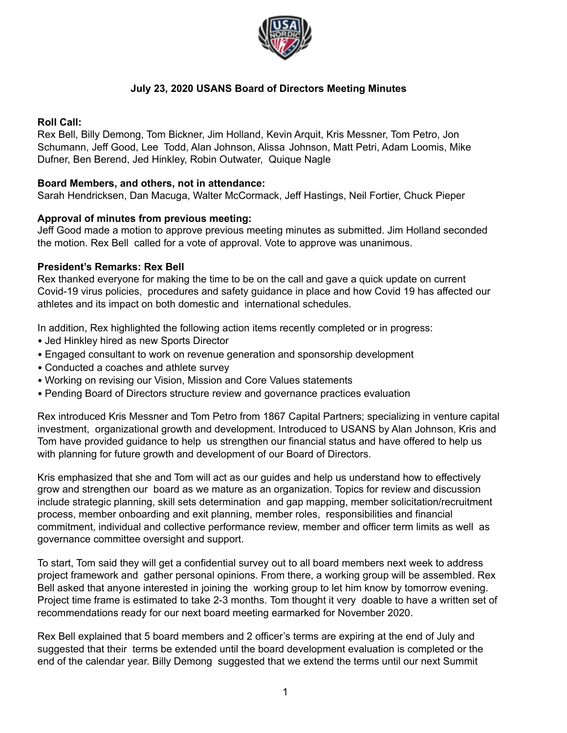

# **July 23, 2020 USANS Board of Directors Meeting Minutes**

## **Roll Call:**

Rex Bell, Billy Demong, Tom Bickner, Jim Holland, Kevin Arquit, Kris Messner, Tom Petro, Jon Schumann, Jeff Good, Lee Todd, Alan Johnson, Alissa Johnson, Matt Petri, Adam Loomis, Mike Dufner, Ben Berend, Jed Hinkley, Robin Outwater, Quique Nagle

## **Board Members, and others, not in attendance:**

Sarah Hendricksen, Dan Macuga, Walter McCormack, Jeff Hastings, Neil Fortier, Chuck Pieper

## **Approval of minutes from previous meeting:**

Jeff Good made a motion to approve previous meeting minutes as submitted. Jim Holland seconded the motion. Rex Bell called for a vote of approval. Vote to approve was unanimous.

## **President's Remarks: Rex Bell**

Rex thanked everyone for making the time to be on the call and gave a quick update on current Covid-19 virus policies, procedures and safety guidance in place and how Covid 19 has affected our athletes and its impact on both domestic and international schedules.

In addition, Rex highlighted the following action items recently completed or in progress:

- Jed Hinkley hired as new Sports Director
- Engaged consultant to work on revenue generation and sponsorship development
- Conducted a coaches and athlete survey
- Working on revising our Vision, Mission and Core Values statements
- Pending Board of Directors structure review and governance practices evaluation

Rex introduced Kris Messner and Tom Petro from 1867 Capital Partners; specializing in venture capital investment, organizational growth and development. Introduced to USANS by Alan Johnson, Kris and Tom have provided guidance to help us strengthen our financial status and have offered to help us with planning for future growth and development of our Board of Directors.

Kris emphasized that she and Tom will act as our guides and help us understand how to effectively grow and strengthen our board as we mature as an organization. Topics for review and discussion include strategic planning, skill sets determination and gap mapping, member solicitation/recruitment process, member onboarding and exit planning, member roles, responsibilities and financial commitment, individual and collective performance review, member and officer term limits as well as governance committee oversight and support.

To start, Tom said they will get a confidential survey out to all board members next week to address project framework and gather personal opinions. From there, a working group will be assembled. Rex Bell asked that anyone interested in joining the working group to let him know by tomorrow evening. Project time frame is estimated to take 2-3 months. Tom thought it very doable to have a written set of recommendations ready for our next board meeting earmarked for November 2020.

Rex Bell explained that 5 board members and 2 officer's terms are expiring at the end of July and suggested that their terms be extended until the board development evaluation is completed or the end of the calendar year. Billy Demong suggested that we extend the terms until our next Summit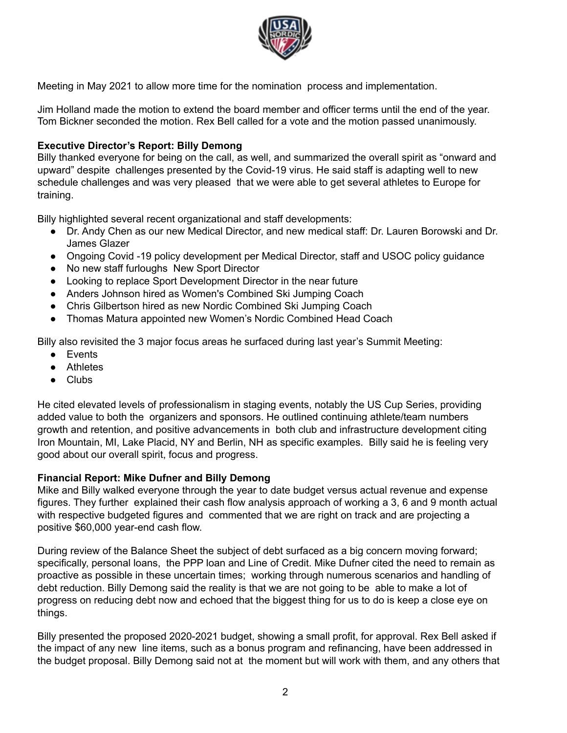

Meeting in May 2021 to allow more time for the nomination process and implementation.

Jim Holland made the motion to extend the board member and officer terms until the end of the year. Tom Bickner seconded the motion. Rex Bell called for a vote and the motion passed unanimously.

## **Executive Director's Report: Billy Demong**

Billy thanked everyone for being on the call, as well, and summarized the overall spirit as "onward and upward" despite challenges presented by the Covid-19 virus. He said staff is adapting well to new schedule challenges and was very pleased that we were able to get several athletes to Europe for training.

Billy highlighted several recent organizational and staff developments:

- Dr. Andy Chen as our new Medical Director, and new medical staff: Dr. Lauren Borowski and Dr. James Glazer
- Ongoing Covid -19 policy development per Medical Director, staff and USOC policy guidance
- No new staff furloughs New Sport Director
- Looking to replace Sport Development Director in the near future
- Anders Johnson hired as Women's Combined Ski Jumping Coach
- Chris Gilbertson hired as new Nordic Combined Ski Jumping Coach
- Thomas Matura appointed new Women's Nordic Combined Head Coach

Billy also revisited the 3 major focus areas he surfaced during last year's Summit Meeting:

- Events
- Athletes
- Clubs

He cited elevated levels of professionalism in staging events, notably the US Cup Series, providing added value to both the organizers and sponsors. He outlined continuing athlete/team numbers growth and retention, and positive advancements in both club and infrastructure development citing Iron Mountain, MI, Lake Placid, NY and Berlin, NH as specific examples. Billy said he is feeling very good about our overall spirit, focus and progress.

#### **Financial Report: Mike Dufner and Billy Demong**

Mike and Billy walked everyone through the year to date budget versus actual revenue and expense figures. They further explained their cash flow analysis approach of working a 3, 6 and 9 month actual with respective budgeted figures and commented that we are right on track and are projecting a positive \$60,000 year-end cash flow.

During review of the Balance Sheet the subject of debt surfaced as a big concern moving forward; specifically, personal loans, the PPP loan and Line of Credit. Mike Dufner cited the need to remain as proactive as possible in these uncertain times; working through numerous scenarios and handling of debt reduction. Billy Demong said the reality is that we are not going to be able to make a lot of progress on reducing debt now and echoed that the biggest thing for us to do is keep a close eye on things.

Billy presented the proposed 2020-2021 budget, showing a small profit, for approval. Rex Bell asked if the impact of any new line items, such as a bonus program and refinancing, have been addressed in the budget proposal. Billy Demong said not at the moment but will work with them, and any others that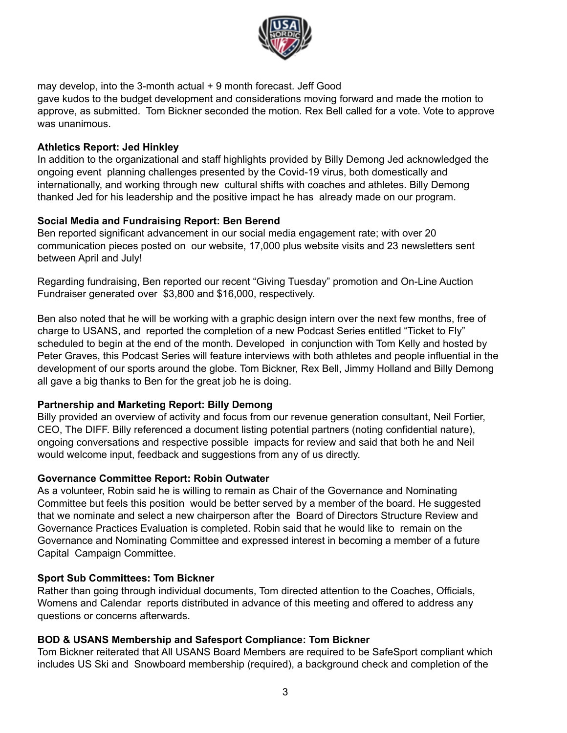

may develop, into the 3-month actual + 9 month forecast. Jeff Good gave kudos to the budget development and considerations moving forward and made the motion to

approve, as submitted. Tom Bickner seconded the motion. Rex Bell called for a vote. Vote to approve was unanimous.

## **Athletics Report: Jed Hinkley**

In addition to the organizational and staff highlights provided by Billy Demong Jed acknowledged the ongoing event planning challenges presented by the Covid-19 virus, both domestically and internationally, and working through new cultural shifts with coaches and athletes. Billy Demong thanked Jed for his leadership and the positive impact he has already made on our program.

# **Social Media and Fundraising Report: Ben Berend**

Ben reported significant advancement in our social media engagement rate; with over 20 communication pieces posted on our website, 17,000 plus website visits and 23 newsletters sent between April and July!

Regarding fundraising, Ben reported our recent "Giving Tuesday" promotion and On-Line Auction Fundraiser generated over \$3,800 and \$16,000, respectively.

Ben also noted that he will be working with a graphic design intern over the next few months, free of charge to USANS, and reported the completion of a new Podcast Series entitled "Ticket to Fly" scheduled to begin at the end of the month. Developed in conjunction with Tom Kelly and hosted by Peter Graves, this Podcast Series will feature interviews with both athletes and people influential in the development of our sports around the globe. Tom Bickner, Rex Bell, Jimmy Holland and Billy Demong all gave a big thanks to Ben for the great job he is doing.

# **Partnership and Marketing Report: Billy Demong**

Billy provided an overview of activity and focus from our revenue generation consultant, Neil Fortier, CEO, The DIFF. Billy referenced a document listing potential partners (noting confidential nature), ongoing conversations and respective possible impacts for review and said that both he and Neil would welcome input, feedback and suggestions from any of us directly.

# **Governance Committee Report: Robin Outwater**

As a volunteer, Robin said he is willing to remain as Chair of the Governance and Nominating Committee but feels this position would be better served by a member of the board. He suggested that we nominate and select a new chairperson after the Board of Directors Structure Review and Governance Practices Evaluation is completed. Robin said that he would like to remain on the Governance and Nominating Committee and expressed interest in becoming a member of a future Capital Campaign Committee.

# **Sport Sub Committees: Tom Bickner**

Rather than going through individual documents, Tom directed attention to the Coaches, Officials, Womens and Calendar reports distributed in advance of this meeting and offered to address any questions or concerns afterwards.

# **BOD & USANS Membership and Safesport Compliance: Tom Bickner**

Tom Bickner reiterated that All USANS Board Members are required to be SafeSport compliant which includes US Ski and Snowboard membership (required), a background check and completion of the